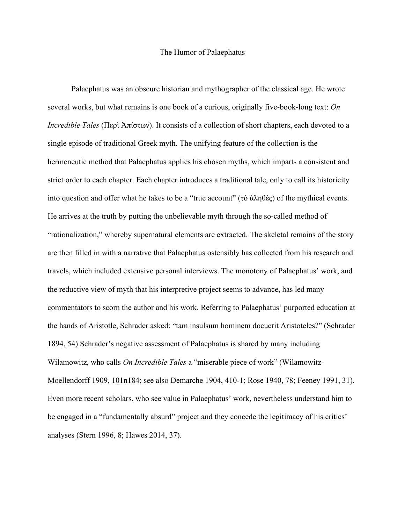## The Humor of Palaephatus

Palaephatus was an obscure historian and mythographer of the classical age. He wrote several works, but what remains is one book of a curious, originally five-book-long text: *On Incredible Tales* (Περὶ Ἀπίστων). It consists of a collection of short chapters, each devoted to a single episode of traditional Greek myth. The unifying feature of the collection is the hermeneutic method that Palaephatus applies his chosen myths, which imparts a consistent and strict order to each chapter. Each chapter introduces a traditional tale, only to call its historicity into question and offer what he takes to be a "true account" (τὸ ἀληθές) of the mythical events. He arrives at the truth by putting the unbelievable myth through the so-called method of "rationalization," whereby supernatural elements are extracted. The skeletal remains of the story are then filled in with a narrative that Palaephatus ostensibly has collected from his research and travels, which included extensive personal interviews. The monotony of Palaephatus' work, and the reductive view of myth that his interpretive project seems to advance, has led many commentators to scorn the author and his work. Referring to Palaephatus' purported education at the hands of Aristotle, Schrader asked: "tam insulsum hominem docuerit Aristoteles?" (Schrader 1894, 54) Schrader's negative assessment of Palaephatus is shared by many including Wilamowitz, who calls *On Incredible Tales* a "miserable piece of work" (Wilamowitz-Moellendorff 1909, 101n184; see also Demarche 1904, 410-1; Rose 1940, 78; Feeney 1991, 31). Even more recent scholars, who see value in Palaephatus' work, nevertheless understand him to be engaged in a "fundamentally absurd" project and they concede the legitimacy of his critics' analyses (Stern 1996, 8; Hawes 2014, 37).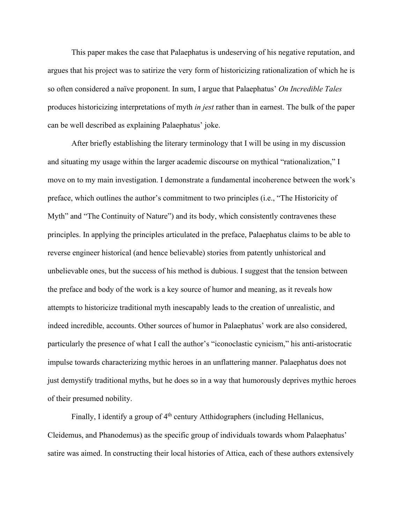This paper makes the case that Palaephatus is undeserving of his negative reputation, and argues that his project was to satirize the very form of historicizing rationalization of which he is so often considered a naïve proponent. In sum, I argue that Palaephatus' *On Incredible Tales* produces historicizing interpretations of myth *in jest* rather than in earnest. The bulk of the paper can be well described as explaining Palaephatus' joke.

After briefly establishing the literary terminology that I will be using in my discussion and situating my usage within the larger academic discourse on mythical "rationalization," I move on to my main investigation. I demonstrate a fundamental incoherence between the work's preface, which outlines the author's commitment to two principles (i.e., "The Historicity of Myth" and "The Continuity of Nature") and its body, which consistently contravenes these principles. In applying the principles articulated in the preface, Palaephatus claims to be able to reverse engineer historical (and hence believable) stories from patently unhistorical and unbelievable ones, but the success of his method is dubious. I suggest that the tension between the preface and body of the work is a key source of humor and meaning, as it reveals how attempts to historicize traditional myth inescapably leads to the creation of unrealistic, and indeed incredible, accounts. Other sources of humor in Palaephatus' work are also considered, particularly the presence of what I call the author's "iconoclastic cynicism," his anti-aristocratic impulse towards characterizing mythic heroes in an unflattering manner. Palaephatus does not just demystify traditional myths, but he does so in a way that humorously deprives mythic heroes of their presumed nobility.

Finally, I identify a group of  $4<sup>th</sup>$  century Atthidographers (including Hellanicus, Cleidemus, and Phanodemus) as the specific group of individuals towards whom Palaephatus' satire was aimed. In constructing their local histories of Attica, each of these authors extensively